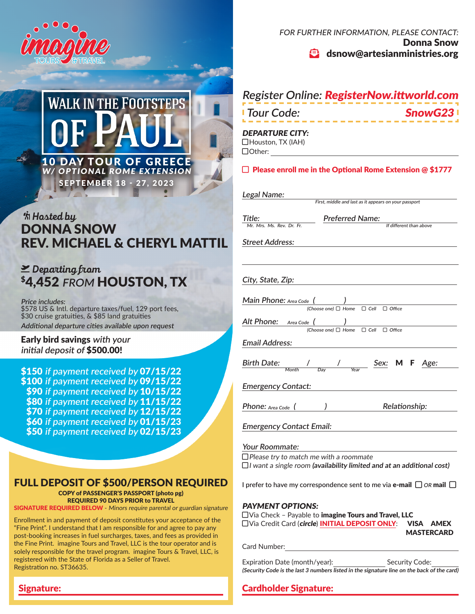



# $*$ *h* Hosted by DONNA SNOW REV. MICHAEL & CHERYL MATTIL

# plane-departure *Departing from* \$4,452 **FROM** HOUSTON, TX

**Price includes:** \$578 US & Intl. departure taxes/fuel, 129 port fees, \$30 cruise gratuities, & \$85 land gratuities **Additional departure cities available upon request**

### Early bird savings **with your initial deposit of** \$500.00!

Signature:

\$150 **if payment received by** 07/15/22 \$100 **if payment received by** 09/15/22 \$90 **if payment received by** 10/15/22 \$80 **if payment received by** 11/15/22 \$70 **if payment received by** 12/15/22 \$60 **if payment received by** 01/15/23 \$50 **if payment received by** 02/15/23

## FULL DEPOSIT OF \$500/PERSON REQUIRED

COPY of PASSENGER'S PASSPORT (photo pg) REQUIRED 90 DAYS PRIOR to TRAVEL

**SIGNATURE REQUIRED BELOW** - Minors require parental or guardian signature

Enrollment in and payment of deposit constitutes your acceptance of the "Fine Print". I understand that I am responsible for and agree to pay any post-booking increases in fuel surcharges, taxes, and fees as provided in the Fine Print. imagine Tours and Travel, LLC is the tour operator and is solely responsible for the travel program. imagine Tours & Travel, LLC, is registered with the State of Florida as a Seller of Travel. Registration no. ST36635.

FOR FURTHER INFORMATION, PLEASE CONTACT: Donna Snow  $\bullet$  dsnow@artesianministries.org

| Register Online: <b>RegisterNow.ittworld.com</b>                                                                                                |  |  |  |
|-------------------------------------------------------------------------------------------------------------------------------------------------|--|--|--|
| <b>Tour Code:</b><br><b>SnowG2</b>                                                                                                              |  |  |  |
| <b>DEPARTURE CITY:</b><br>□Houston, TX (IAH)<br>$\Box$ Other:                                                                                   |  |  |  |
| $\Box$ Please enroll me in the Optional Rome Extension @ \$1777                                                                                 |  |  |  |
| Legal Name:<br>First, middle and last as it appears on your passport                                                                            |  |  |  |
| <b>Preferred Name:</b><br>Title:                                                                                                                |  |  |  |
| Mr. Mrs. Ms. Rev. Dr. Fr.<br>If different than above                                                                                            |  |  |  |
| <b>Street Address:</b>                                                                                                                          |  |  |  |
|                                                                                                                                                 |  |  |  |
| City, State, Zip:                                                                                                                               |  |  |  |
| Main Phone: Area Code (<br>$\overline{\phantom{a}}$<br>(Choose one) □ Home<br>$\Box$ Cell $\Box$ Office                                         |  |  |  |
| Alt Phone:<br>Area Code (<br>$\Box$ Cell<br>(Choose one) $\Box$ Home<br>$\Box$ Office                                                           |  |  |  |
| <b>Email Address:</b>                                                                                                                           |  |  |  |
| <b>Birth Date:</b><br>M F<br>Age:                                                                                                               |  |  |  |
| <b>Emergency Contact:</b>                                                                                                                       |  |  |  |
| Relationship:<br><b>Phone:</b> Area Code $\left($                                                                                               |  |  |  |
| <b>Emergency Contact Email:</b>                                                                                                                 |  |  |  |
| Your Roommate:<br>$\Box$ Please try to match me with a roommate<br>$\Box$ I want a single room (availability limited and at an additional cost) |  |  |  |
|                                                                                                                                                 |  |  |  |

**I** prefer to have my correspondence sent to me via **e-mail**  $\Box$  *OR* mail  $\Box$ 

### PAYMENT OPTIONS:

| $\Box$ Via Check - Payable to <b>imagine Tours and Travel, LLC</b> |                   |  |  |
|--------------------------------------------------------------------|-------------------|--|--|
| □Via Credit Card (circle) INITIAL DEPOSIT ONLY: VISA AMEX          |                   |  |  |
|                                                                    | <b>MASTERCARD</b> |  |  |

Card Number:

Expiration Date (month/year): Security Code: **(Security Code is the last 3 numbers listed in the signature line on the back of the card)**

## Cardholder Signature: